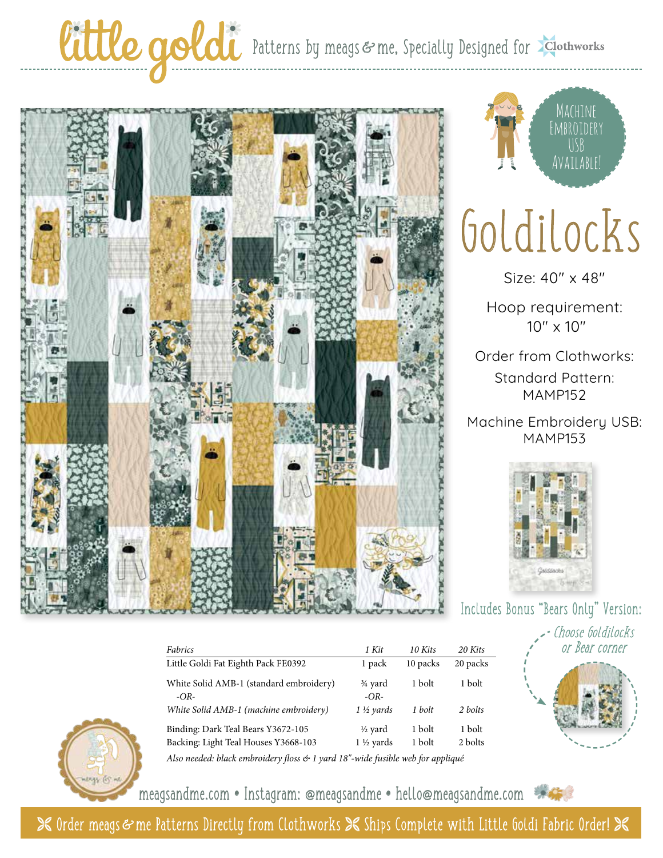### Cittle goldi Patterns by meags & me, Specially Designed for Elothworks





# Goldilocks

Size: 40" x 48"

Hoop requirement: 10" x 10"

Order from Clothworks: Standard Pattern: MAMP152

Machine Embroidery USB: MAMP153



#### Includes Bonus "Bears Only" Version:

Choose Goldilocks or Bear corner



Backing: Light Teal Houses Y3668-103 1 1<sup>1</sup>/<sub>2</sub> yards 1 bolt 2 bolts *Also needed: black embroidery floss & 1 yard 18"-wide fusible web for appliqué*

*Fabrics 1 Kit 10 Kits 20 Kits* Little Goldi Fat Eighth Pack FE0392 1 pack 10 packs 20 packs White Solid AMB-1 (standard embroidery)  $\frac{3}{4}$  yard 1 bolt 1 bolt

*White Solid AMB-1 (machine embroidery) 1 ½ yards 1 bolt 2 bolts* Binding: Dark Teal Bears Y3672-105  $\frac{1}{2}$  yard 1 bolt 1 bolt

*-OR- -OR-*

meagsandme.com **•** Instagram: @meagsandme **•** hello@meagsandme.com

 $\mathcal X$  Order meags  $\mathfrak s$  me Patterns Directly from Clothworks  $\mathcal X$  Ships Complete with Little Goldi Fabric Order!  $\mathcal X$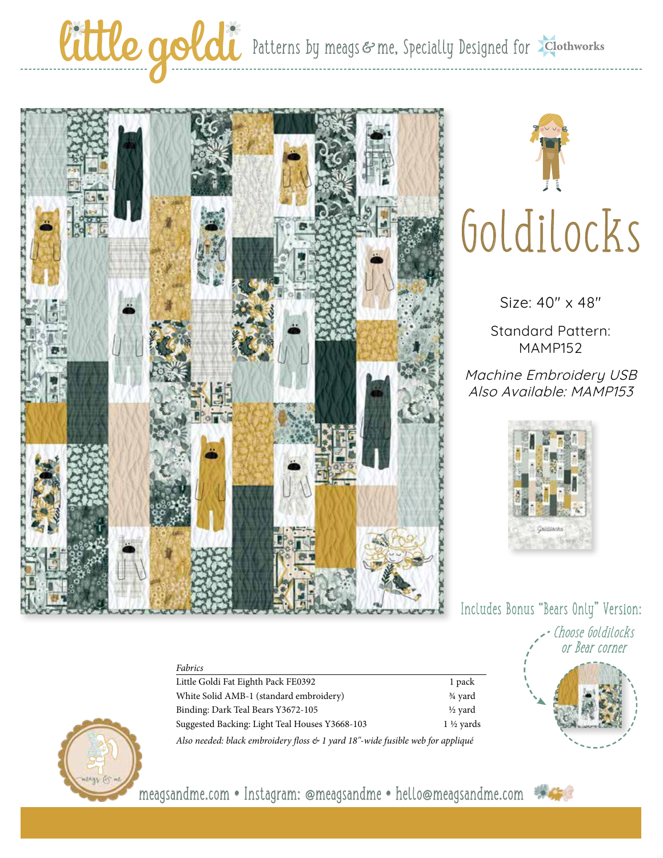#### Cittle goldi Patterns by meags & me, Specially Designed for Elothworks



*Fabrics*



Size: 40" x 48"

Standard Pattern: MAMP152

Machine Embroidery USB Also Available: MAMP153



Includes Bonus "Bears Only" Version:





meagsandme.com **•** Instagram: @meagsandme **•** hello@meagsandme.com

Little Goldi Fat Eighth Pack FE0392 1 pack White Solid AMB-1 (standard embroidery)  $\frac{3}{4}$  yard Binding: Dark Teal Bears Y3672-105 <br>
<sup>1/2</sup> yard Suggested Backing: Light Teal Houses Y3668-103 1 1 1 1 1 1 1 1 1 1 2 yards *Also needed: black embroidery floss & 1 yard 18"-wide fusible web for appliqué*